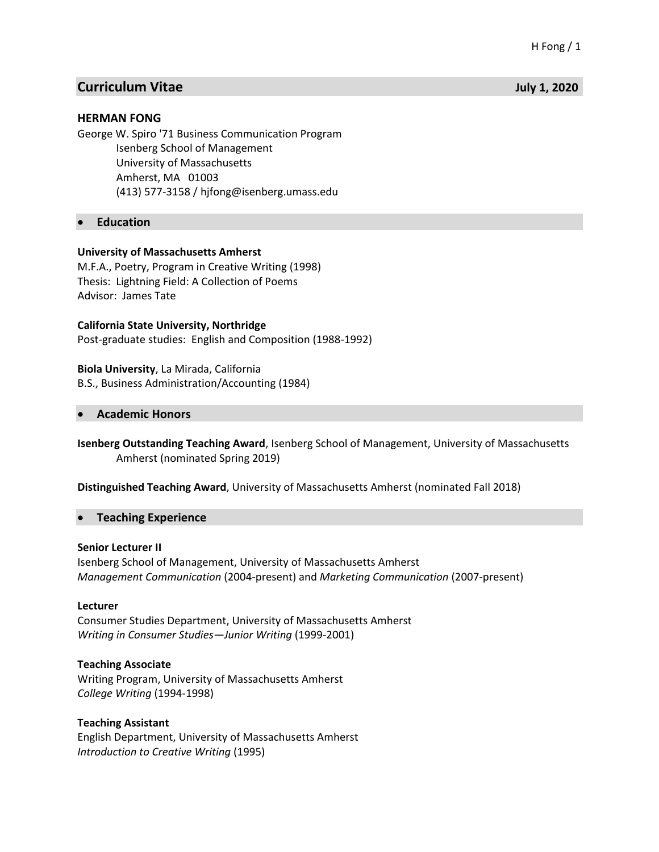# **Curriculum Vitae July 1, 2020**

## **HERMAN FONG**

George W. Spiro '71 Business Communication Program Isenberg School of Management University of Massachusetts Amherst, MA 01003 (413) 577-3158 / hjfong@isenberg.umass.edu

• **Education**

## **University of Massachusetts Amherst**

M.F.A., Poetry, Program in Creative Writing (1998) Thesis: Lightning Field: A Collection of Poems Advisor: James Tate

## **California State University, Northridge**

Post-graduate studies: English and Composition (1988-1992)

**Biola University**, La Mirada, California B.S., Business Administration/Accounting (1984)

## • **Academic Honors**

**Isenberg Outstanding Teaching Award**, Isenberg School of Management, University of Massachusetts Amherst (nominated Spring 2019)

### **Distinguished Teaching Award**, University of Massachusetts Amherst (nominated Fall 2018)

### • **Teaching Experience**

### **Senior Lecturer II**

Isenberg School of Management, University of Massachusetts Amherst *Management Communication* (2004-present) and *Marketing Communication* (2007-present)

### **Lecturer**

Consumer Studies Department, University of Massachusetts Amherst *Writing in Consumer Studies—Junior Writing* (1999-2001)

### **Teaching Associate**

Writing Program, University of Massachusetts Amherst *College Writing* (1994-1998)

## **Teaching Assistant**

English Department, University of Massachusetts Amherst *Introduction to Creative Writing* (1995)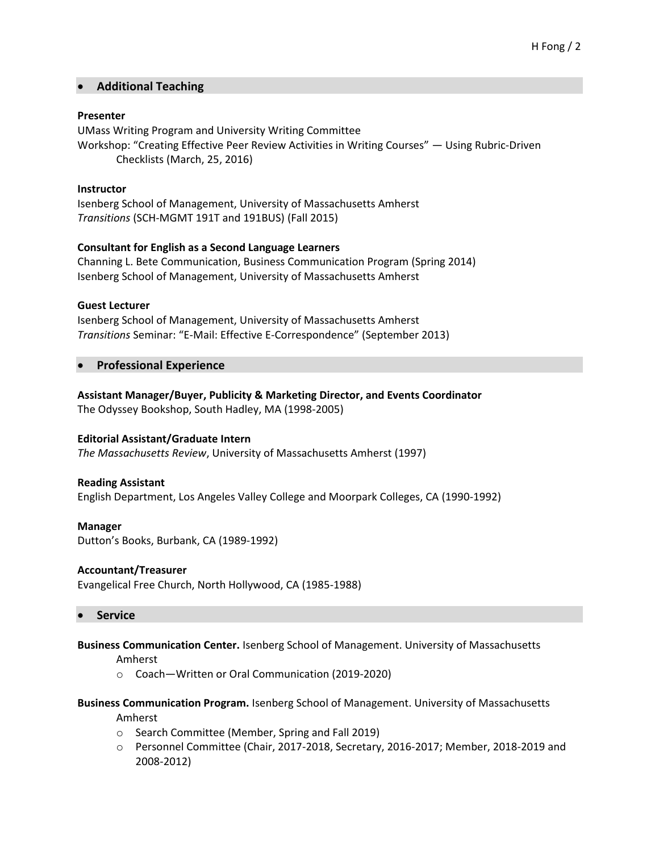## • **Additional Teaching**

## **Presenter**

UMass Writing Program and University Writing Committee Workshop: "Creating Effective Peer Review Activities in Writing Courses" — Using Rubric-Driven Checklists (March, 25, 2016)

## **Instructor**

Isenberg School of Management, University of Massachusetts Amherst *Transitions* (SCH-MGMT 191T and 191BUS) (Fall 2015)

## **Consultant for English as a Second Language Learners**

Channing L. Bete Communication, Business Communication Program (Spring 2014) Isenberg School of Management, University of Massachusetts Amherst

### **Guest Lecturer**

Isenberg School of Management, University of Massachusetts Amherst *Transitions* Seminar: "E-Mail: Effective E-Correspondence" (September 2013)

## • **Professional Experience**

## **Assistant Manager/Buyer, Publicity & Marketing Director, and Events Coordinator** The Odyssey Bookshop, South Hadley, MA (1998-2005)

## **Editorial Assistant/Graduate Intern**

*The Massachusetts Review*, University of Massachusetts Amherst (1997)

### **Reading Assistant**

English Department, Los Angeles Valley College and Moorpark Colleges, CA (1990-1992)

### **Manager**

Dutton's Books, Burbank, CA (1989-1992)

### **Accountant/Treasurer**

Evangelical Free Church, North Hollywood, CA (1985-1988)

### • **Service**

### **Business Communication Center.** Isenberg School of Management. University of Massachusetts

Amherst

o Coach—Written or Oral Communication (2019-2020)

## **Business Communication Program.** Isenberg School of Management. University of Massachusetts Amherst

- o Search Committee (Member, Spring and Fall 2019)
- o Personnel Committee (Chair, 2017-2018, Secretary, 2016-2017; Member, 2018-2019 and 2008-2012)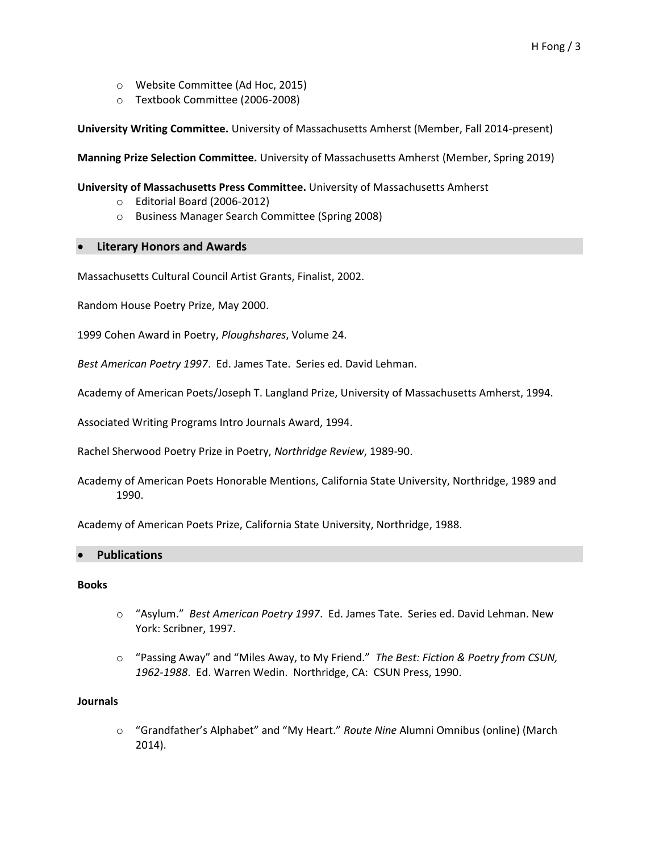- o Website Committee (Ad Hoc, 2015)
- o Textbook Committee (2006-2008)

**University Writing Committee.** University of Massachusetts Amherst (Member, Fall 2014-present)

**Manning Prize Selection Committee.** University of Massachusetts Amherst (Member, Spring 2019)

## **University of Massachusetts Press Committee.** University of Massachusetts Amherst

- o Editorial Board (2006-2012)
- o Business Manager Search Committee (Spring 2008)

## • **Literary Honors and Awards**

Massachusetts Cultural Council Artist Grants, Finalist, 2002.

Random House Poetry Prize, May 2000.

1999 Cohen Award in Poetry, *Ploughshares*, Volume 24.

*Best American Poetry 1997*. Ed. James Tate. Series ed. David Lehman.

Academy of American Poets/Joseph T. Langland Prize, University of Massachusetts Amherst, 1994.

Associated Writing Programs Intro Journals Award, 1994.

Rachel Sherwood Poetry Prize in Poetry, *Northridge Review*, 1989-90.

Academy of American Poets Honorable Mentions, California State University, Northridge, 1989 and 1990.

Academy of American Poets Prize, California State University, Northridge, 1988.

### • **Publications**

### **Books**

- o "Asylum." *Best American Poetry 1997*. Ed. James Tate. Series ed. David Lehman. New York: Scribner, 1997.
- o "Passing Away" and "Miles Away, to My Friend." *The Best: Fiction & Poetry from CSUN, 1962-1988*. Ed. Warren Wedin. Northridge, CA: CSUN Press, 1990.

### **Journals**

o "Grandfather's Alphabet" and "My Heart." *Route Nine* Alumni Omnibus (online) (March 2014).